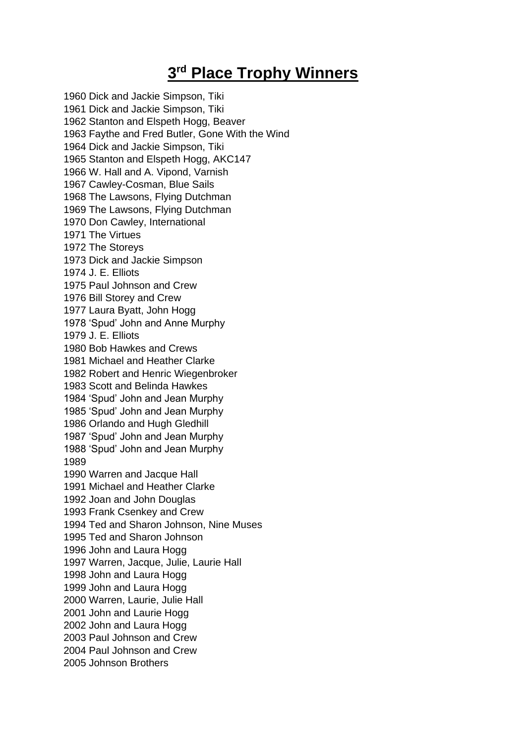## **3 rd Place Trophy Winners**

1960 Dick and Jackie Simpson, Tiki 1961 Dick and Jackie Simpson, Tiki 1962 Stanton and Elspeth Hogg, Beaver 1963 Faythe and Fred Butler, Gone With the Wind 1964 Dick and Jackie Simpson, Tiki 1965 Stanton and Elspeth Hogg, AKC147 1966 W. Hall and A. Vipond, Varnish 1967 Cawley-Cosman, Blue Sails 1968 The Lawsons, Flying Dutchman 1969 The Lawsons, Flying Dutchman 1970 Don Cawley, International 1971 The Virtues 1972 The Storeys 1973 Dick and Jackie Simpson 1974 J. E. Elliots 1975 Paul Johnson and Crew 1976 Bill Storey and Crew 1977 Laura Byatt, John Hogg 1978 'Spud' John and Anne Murphy 1979 J. E. Elliots 1980 Bob Hawkes and Crews 1981 Michael and Heather Clarke 1982 Robert and Henric Wiegenbroker 1983 Scott and Belinda Hawkes 1984 'Spud' John and Jean Murphy 1985 'Spud' John and Jean Murphy 1986 Orlando and Hugh Gledhill 1987 'Spud' John and Jean Murphy 1988 'Spud' John and Jean Murphy 1989 1990 Warren and Jacque Hall 1991 Michael and Heather Clarke 1992 Joan and John Douglas 1993 Frank Csenkey and Crew 1994 Ted and Sharon Johnson, Nine Muses 1995 Ted and Sharon Johnson 1996 John and Laura Hogg 1997 Warren, Jacque, Julie, Laurie Hall 1998 John and Laura Hogg 1999 John and Laura Hogg 2000 Warren, Laurie, Julie Hall 2001 John and Laurie Hogg 2002 John and Laura Hogg 2003 Paul Johnson and Crew 2004 Paul Johnson and Crew 2005 Johnson Brothers